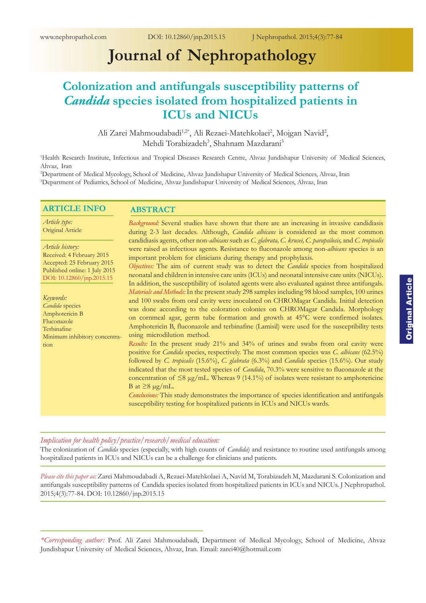# **Journal of Nephropathology**

# **Colonization and antifungals susceptibility patterns of**  *Candida* **species isolated from hospitalized patients in ICUs and NICUs**

Ali Zarei Mahmoudabadi<sup>1,2\*</sup>, Ali Rezaei-Matehkolaei<sup>2</sup>, Mojgan Navid<sup>2</sup>, Mehdi Torabizadeh<sup>3</sup>, Shahnam Mazdarani<sup>3</sup>

1 Health Research Institute, Infectious and Tropical Diseases Research Centre, Ahvaz Jundishapur University of Medical Sciences, Ahvaz, Iran

2 Department of Medical Mycology, School of Medicine, Ahvaz Jundishapur University of Medical Sciences, Ahvaz, Iran 3 Department of Pediatrics, School of Medicine, Ahvaz Jundishapur University of Medical Sciences, Ahvaz, Iran

#### **ARTICLE INFO**

#### **ABSTRACT**

*Article type:* Original Article

*Article history:* Received: 4 February 2015 Accepted: 25 February 2015 Published online: 1 July 2015 DOI: [10.12860/jnp.2015.1](http://dx.doi.org/10.12860/jnp.2015.15)5

*Keywords: Candida* species Amphotericin B Fluconazole Terbinafne Minimum inhibitory concentration

*Background:* Several studies have shown that there are an increasing in invasive candidiasis during 2-3 last decades. Although, *Candida albicans* is considered as the most common candidiasis agents, other non-*albicans* such as *C. glabrata, C. krusei, C. parapsilosis,* and *C. tropicalis* were raised as infectious agents. Resistance to fluconazole among non-*albicans* species is an important problem for clinicians during therapy and prophylaxis.

*Objectives:* The aim of current study was to detect the *Candida* species from hospitalized neonatal and children in intensive care units (ICUs) and neonatal intensive care units (NICUs). In addition, the susceptibility of isolated agents were also evaluated against three antifungals. *Materials and Methods:* In the present study 298 samples including 98 blood samples, 100 urines and 100 swabs from oral cavity were inoculated on CHROMagar Candida. Initial detection was done according to the coloration colonies on CHROMagar Candida. Morphology on cornmeal agar, germ tube formation and growth at 45°C were confirmed isolates. Amphotericin B, fluconazole and terbinafine (Lamisil) were used for the susceptibility tests using microdilution method.

*Results:* In the present study 21% and 34% of urines and swabs from oral cavity were positive for *Candida* species, respectively. The most common species was *C. albicans* (62.5%) followed by *C. tropicalis* (15.6%), *C. glabrata* (6.3%) and *Candida* species (15.6%). Our study indicated that the most tested species of *Candida*, 70.3% were sensitive to fluconazole at the concentration of  $\leq 8 \mu g/mL$ . Whereas 9 (14.1%) of isolates were resistant to amphotericine B at  $\geq 8 \mu g/mL$ .

*Conclusions:* This study demonstrates the importance of species identification and antifungals susceptibility testing for hospitalized patients in ICUs and NICUs wards.

# *Implication for health policy/practice/research/medical education:*

The colonization of *Candida* species (especially, with high counts of *Candida*) and resistance to routine used antifungals among hospitalized patients in ICUs and NICUs can be a challenge for clinicians and patients.

*Please cite this paper as:* Zarei Mahmoudabadi A, Rezaei-Matehkolaei A, Navid M, Torabizadeh M, Mazdarani S. Colonization and antifungals susceptibility patterns of Candida species isolated from hospitalized patients in ICUs and NICUs. J Nephropathol. 2015;4(3):77-84. DOI: [10.12860/jnp.2015.](http://dx.doi.org/10.12860/jnp.2015.15)15

*<sup>\*</sup>Corresponding author:* Prof. Ali Zarei Mahmoudabadi, Department of Medical Mycology, School of Medicine, Ahvaz Jundishapur University of Medical Sciences, Ahvaz, Iran. Email: zarei40@hotmail.com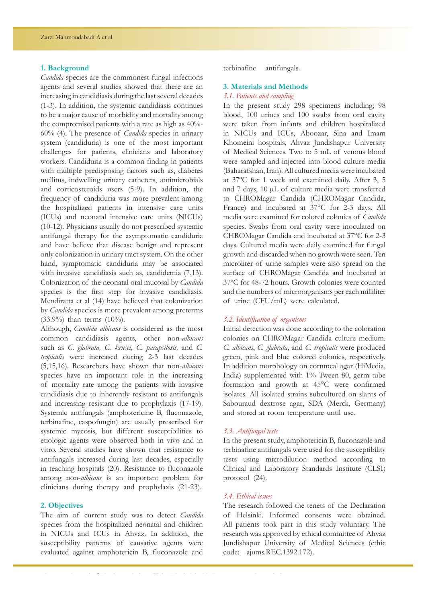# **1. Background**

*Candida* species are the commonest fungal infections agents and several studies showed that there are an increasing in candidiasis during the last several decades (1-3). In addition, the systemic candidiasis continues to be a major cause of morbidity and mortality among the compromised patients with a rate as high as 40%- 60% (4). The presence of *Candida* species in urinary system (candiduria) is one of the most important challenges for patients, clinicians and laboratory workers. Candiduria is a common finding in patients with multiple predisposing factors such as, diabetes mellitus, indwelling urinary catheters, antimicrobials and corticosteroids users (5-9). In addition, the frequency of candiduria was more prevalent among the hospitalized patients in intensive care units (ICUs) and neonatal intensive care units (NICUs) (10-12). Physicians usually do not prescribed systemic antifungal therapy for the asymptomatic candiduria and have believe that disease benign and represent only colonization in urinary tract system. On the other hand, symptomatic candiduria may be associated with invasive candidiasis such as, candidemia (7,13). Colonization of the neonatal oral mucosal by *Candida* species is the first step for invasive candidiasis. Mendiratta et al (14) have believed that colonization by *Candida* species is more prevalent among preterms (33.9%) than terms (10%).

Although, *Candida albicans* is considered as the most common candidiasis agents, other non-*albicans* such as *C. glabrata, C. krusei, C. parapsilosis,* and *C. tropicalis* were increased during 2-3 last decades (5,15,16). Researchers have shown that non-*albicans* species have an important role in the increasing of mortality rate among the patients with invasive candidiasis due to inherently resistant to antifungals and increasing resistant due to prophylaxis (17-19). Systemic antifungals (amphotericine B, fluconazole, terbinafine, caspofungin) are usually prescribed for systemic mycosis, but different susceptibilities to etiologic agents were observed both in vivo and in vitro. Several studies have shown that resistance to antifungals increased during last decades, especially in teaching hospitals (20). Resistance to fluconazole among non-*albicans* is an important problem for clinicians during therapy and prophylaxis (21-23).

# **2. Objectives**

The aim of current study was to detect *Candida* species from the hospitalized neonatal and children in NICUs and ICUs in Ahvaz. In addition, the susceptibility patterns of causative agents were evaluated against amphotericin B, fluconazole and

terbinafine antifungals.

# **3. Materials and Methods**

# *3.1. Patients and sampling*

In the present study 298 specimens including; 98 blood, 100 urines and 100 swabs from oral cavity were taken from infants and children hospitalized in NICUs and ICUs, Aboozar, Sina and Imam Khomeini hospitals, Ahvaz Jundishapur University of Medical Sciences. Two to 5 mL of venous blood were sampled and injected into blood culture media (Baharafshan, Iran). All cultured media were incubated at 37ºC for 1 week and examined daily. After 3, 5 and 7 days, 10 µL of culture media were transferred to CHROMagar Candida (CHROMagar Candida, France) and incubated at 37°C for 2-3 days. All media were examined for colored colonies of *Candida* species. Swabs from oral cavity were inoculated on CHROMagar Candida and incubated at 37°C for 2-3 days. Cultured media were daily examined for fungal growth and discarded when no growth were seen. Ten microliter of urine samples were also spread on the surface of CHROMagar Candida and incubated at 37ºC for 48-72 hours. Growth colonies were counted and the numbers of microorganisms per each milliliter of urine (CFU/mL) were calculated.

# *3.2. Identification of organisms*

Initial detection was done according to the coloration colonies on CHROMagar Candida culture medium. *C. albicans*, *C. glabrata*, and *C. tropicalis* were produced green, pink and blue colored colonies, respectively. In addition morphology on cornmeal agar (HiMedia, India) supplemented with 1% Tween 80, germ tube formation and growth at 45°C were confirmed isolates. All isolated strains subcultured on slants of Sabouraud dextrose agar, SDA (Merck, Germany) and stored at room temperature until use.

#### *3.3. Antifungal tests*

In the present study, amphotericin B, fluconazole and terbinafine antifungals were used for the susceptibility tests using microdilution method according to Clinical and Laboratory Standards Institute (CLSI) protocol (24).

# *3.4. Ethical issues*

The research followed the tenets of the Declaration of Helsinki. Informed consents were obtained. All patients took part in this study voluntary. The research was approved by ethical committee of Ahvaz Jundishapur University of Medical Sciences (ethic code: ajums.REC.1392.172).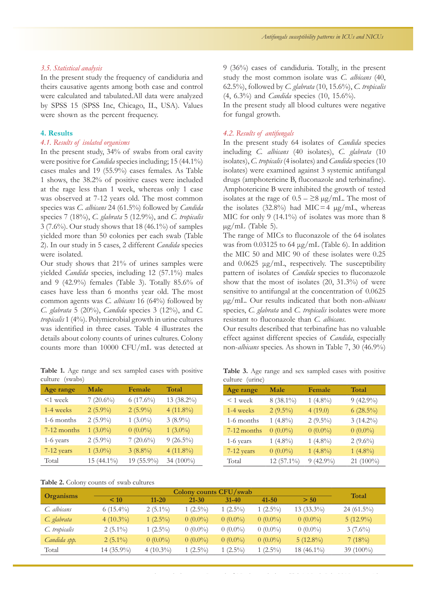# *3.5. Statistical analysis*

In the present study the frequency of candiduria and theirs causative agents among both case and control were calculated and tabulated.All data were analyzed by SPSS 15 (SPSS Inc, Chicago, IL, USA). Values were shown as the percent frequency.

# **4. Results**

# *4.1. Results of isolated organisms*

In the present study, 34% of swabs from oral cavity were positive for *Candida* species including; 15 (44.1%) cases males and 19 (55.9%) cases females. As Table 1 shows, the 38.2% of positive cases were included at the rage less than 1 week, whereas only 1 case was observed at 7-12 years old. The most common species was *C. albicans* 24 (61.5%) followed by *Candida* species 7 (18%), *C. glabrata* 5 (12.9%), and *C. tropicalis* 3 (7.6%). Our study shows that 18 (46.1%) of samples yielded more than 50 colonies per each swab (Table 2). In our study in 5 cases, 2 different *Candida* species were isolated.

Our study shows that 21% of urines samples were yielded *Candida* species, including 12 (57.1%) males and 9 (42.9%) females (Table 3). Totally 85.6% of cases have less than 6 months year old. The most common agents was *C. albicans* 16 (64%) followed by *C. glabrata* 5 (20%), *Candida* species 3 (12%), and *C. tropicalis* 1 (4%). Polymicrobial growth in urine cultures was identified in three cases. Table 4 illustrates the details about colony counts of urines cultures. Colony counts more than 10000 CFU/mL was detected at

Table 1. Age range and sex sampled cases with positive culture (swabs)

| Age range   | Male        | Female      | Total       |
|-------------|-------------|-------------|-------------|
| $<$ 1 week  | $7(20.6\%)$ | $6(17.6\%)$ | 13 (38.2%)  |
| 1-4 weeks   | $2(5.9\%)$  | $2(5.9\%)$  | $4(11.8\%)$ |
| 1-6 months  | $2(5.9\%)$  | 1 $(3.0\%)$ | $3(8.9\%)$  |
| 7-12 months | $1(3.0\%)$  | $0(0.0\%)$  | $1(3.0\%)$  |
| 1-6 years   | $2(5.9\%)$  | $7(20.6\%)$ | $9(26.5\%)$ |
| 7-12 years  | $1(3.0\%)$  | $3(8.8\%)$  | $4(11.8\%)$ |
| Total       | 15 (44.1%)  | 19 (55.9%)  | 34 (100%)   |

|  |  | Table 2. Colony counts of swab cultures |  |  |
|--|--|-----------------------------------------|--|--|
|--|--|-----------------------------------------|--|--|

9 (36%) cases of candiduria. Totally, in the present study the most common isolate was *C. albicans* (40, 62.5%), followed by *C. glabrata* (10, 15.6%), *C. tropicalis*  (4, 6.3%) and *Candida* species (10, 15.6%).

In the present study all blood cultures were negative for fungal growth.

# *4.2. Results of antifungals*

In the present study 64 isolates of *Candida* species including *C. albicans* (40 isolates), *C. glabrata* (10 isolates), *C. tropicalis* (4 isolates) and *Candida* species (10 isolates) were examined against 3 systemic antifungal drugs (amphotericine B, fluconazole and terbinafine). Amphotericine B were inhibited the growth of tested isolates at the rage of  $0.5 - \geq 8 \mu g/mL$ . The most of the isolates (32.8%) had MIC=4  $\mu$ g/mL, whereas MIC for only 9 (14.1%) of isolates was more than 8  $\mu$ g/mL (Table 5).

The range of MICs to fluconazole of the 64 isolates was from  $0.03125$  to 64  $\mu$ g/mL (Table 6). In addition the MIC 50 and MIC 90 of these isolates were 0.25 and 0.0625 μg/mL, respectively. The susceptibility pattern of isolates of *Candida* species to fluconazole show that the most of isolates (20, 31.3%) of were sensitive to antifungal at the concentration of 0.0625 µg/mL. Our results indicated that both non-*albicans* species, *C. glabrata* and *C. tropicalis* isolates were more resistant to fluconazole than *C. albicans*.

Our results described that terbinafine has no valuable effect against different species of *Candida*, especially non-*albicans* species. As shown in Table 7, 30 (46.9%)

Table 3. Age range and sex sampled cases with positive culture (urine)

| Age range   | Male        | Female      | Total        |
|-------------|-------------|-------------|--------------|
| $< 1$ week  | $8(38.1\%)$ | $1(4.8\%)$  | $9(42.9\%)$  |
| 1-4 weeks   | $2(9.5\%)$  | 4(19.0)     | $6(28.5\%)$  |
| 1-6 months  | $1(4.8\%)$  | $2(9.5\%)$  | $3(14.2\%)$  |
| 7-12 months | $0(0.0\%)$  | $0(0.0\%)$  | $0(0.0\%)$   |
| 1-6 years   | $1(4.8\%)$  | 1 $(4.8\%)$ | $2(9.6\%)$   |
| 7-12 years  | $0(0.0\%)$  | $1(4.8\%)$  | $1(4.8\%)$   |
| Total       | 12 (57.1%)  | $9(42.9\%)$ | 21 $(100\%)$ |

|                  | Colony counts CFU/swab |              |            |            |            |              | Total        |
|------------------|------------------------|--------------|------------|------------|------------|--------------|--------------|
| <b>Organisms</b> | < 10                   | $11 - 20$    | $21 - 30$  | $31 - 40$  | $41 - 50$  | > 50         |              |
| C. albicans      | 6 $(15.4\%)$           | $2(5.1\%)$   | $1(2.5\%)$ | $1(2.5\%)$ | $1(2.5\%)$ | $13(33.3\%)$ | $24(61.5\%)$ |
| C. glabrata      | $4(10.3\%)$            | $1(2.5\%)$   | $0(0.0\%)$ | $0(0.0\%)$ | $0(0.0\%)$ | $0(0.0\%)$   | $5(12.9\%)$  |
| C. tropicalis    | $2(5.1\%)$             | $1(2.5\%)$   | $0(0.0\%)$ | $0(0.0\%)$ | $0(0.0\%)$ | $0(0.0\%)$   | $3(7.6\%)$   |
| Candida spp.     | $2(5.1\%)$             | $0(0.0\%)$   | $0(0.0\%)$ | $0(0.0\%)$ | $0(0.0\%)$ | $5(12.8\%)$  | 7(18%)       |
| Total            | $14(35.9\%)$           | 4 $(10.3\%)$ | $1(2.5\%)$ | $(2.5\%)$  | $(2.5\%)$  | $18(46.1\%)$ | 39 $(100\%)$ |

w.nephropathol.com Journal of Nephropathol.com Journal of Nephropathol.com Journal of Nephropathology, Vol 4, <br>See also and the Nephropathology, Vol 4, No 3, July 2015 79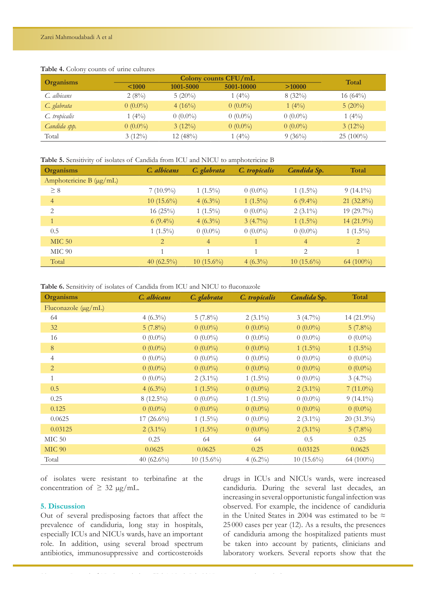# **Table 4.** Colony counts of urine cultures

|               |            | Colony counts CFU/mL |            |            |             |  |
|---------------|------------|----------------------|------------|------------|-------------|--|
| Organisms     | < 1000     | 1001-5000            | 5001-10000 | >10000     | Total       |  |
| C. albicans   | 2(8%)      | $5(20\%)$            | $(4\%)$    | $8(32\%)$  | 16 $(64\%)$ |  |
| C. glabrata   | $0(0.0\%)$ | $4(16\%)$            | $0(0.0\%)$ | $1(4\%)$   | $5(20\%)$   |  |
| C. tropicalis | $1(4\%)$   | $0(0.0\%)$           | $0(0.0\%)$ | $0(0.0\%)$ | $1(4\%)$    |  |
| Candida spp.  | $0(0.0\%)$ | $3(12\%)$            | $0(0.0\%)$ | $0(0.0\%)$ | $3(12\%)$   |  |
| Total         | $3(12\%)$  | 12(48%)              | $(4\%)$    | $9(36\%)$  | $25(100\%)$ |  |

# **Table 5.** Sensitivity of isolates of Candida from ICU and NICU to amphotericine B

| <b>Organisms</b>             | C. albicans   | C. glabrata    | C. tropicalis | Candida Sp.    | Total        |
|------------------------------|---------------|----------------|---------------|----------------|--------------|
| Amphotericine B $(\mu g/mL)$ |               |                |               |                |              |
| $\geq 8$                     | $7(10.9\%)$   | $1(1.5\%)$     | $0(0.0\%)$    | $1(1.5\%)$     | $9(14.1\%)$  |
| $\overline{4}$               | $10(15.6\%)$  | $4(6.3\%)$     | $1(1.5\%)$    | $6(9.4\%)$     | 21 (32.8%)   |
| 2                            | $16(25\%)$    | $1(1.5\%)$     | $0(0.0\%)$    | $2(3.1\%)$     | 19 (29.7%)   |
|                              | $6(9.4\%)$    | $4(6.3\%)$     | $3(4.7\%)$    | $1(1.5\%)$     | 14 (21.9%)   |
| 0.5                          | $1(1.5\%)$    | $0(0.0\%)$     | $0(0.0\%)$    | $0(0.0\%)$     | $1(1.5\%)$   |
| <b>MIC 50</b>                | 2             | $\overline{4}$ |               | $\overline{4}$ | 2            |
| <b>MIC 90</b>                | $\mathbf{1}$  |                |               | 2              |              |
| Total                        | 40 $(62.5\%)$ | $10(15.6\%)$   | $4(6.3\%)$    | $10(15.6\%)$   | 64 $(100\%)$ |

Table 6. Sensitivity of isolates of Candida from ICU and NICU to fluconazole

| Organisms           | C. albicans   | C. glabrata  | C. tropicalis | Candida Sp.  | Total        |
|---------------------|---------------|--------------|---------------|--------------|--------------|
| Fluconazole (µg/mL) |               |              |               |              |              |
| 64                  | $4(6.3\%)$    | $5(7.8\%)$   | $2(3.1\%)$    | $3(4.7\%)$   | 14 (21.9%)   |
| 32                  | $5(7.8\%)$    | $0(0.0\%)$   | $0(0.0\%)$    | $0(0.0\%)$   | $5(7.8\%)$   |
| 16                  | $0(0.0\%)$    | $0(0.0\%)$   | $0(0.0\%)$    | $0(0.0\%)$   | $0(0.0\%)$   |
| $8\,$               | $0(0.0\%)$    | $0(0.0\%)$   | $0(0.0\%)$    | $1(1.5\%)$   | $1(1.5\%)$   |
| $\overline{4}$      | $0(0.0\%)$    | $0(0.0\%)$   | $0(0.0\%)$    | $0(0.0\%)$   | $0(0.0\%)$   |
| $\overline{2}$      | $0(0.0\%)$    | $0(0.0\%)$   | $0(0.0\%)$    | $0(0.0\%)$   | $0(0.0\%)$   |
| $\mathbf{1}$        | $0(0.0\%)$    | $2(3.1\%)$   | $1(1.5\%)$    | $0(0.0\%)$   | $3(4.7\%)$   |
| 0.5                 | $4(6.3\%)$    | $1(1.5\%)$   | $0(0.0\%)$    | $2(3.1\%)$   | $7(11.0\%)$  |
| 0.25                | $8(12.5\%)$   | $0(0.0\%)$   | $1(1.5\%)$    | $0(0.0\%)$   | $9(14.1\%)$  |
| 0.125               | $0(0.0\%)$    | $0(0.0\%)$   | $0(0.0\%)$    | $0(0.0\%)$   | $0(0.0\%)$   |
| 0.0625              | $17(26.6\%)$  | $1(1.5\%)$   | $0(0.0\%)$    | $2(3.1\%)$   | $20(31.3\%)$ |
| 0.03125             | $2(3.1\%)$    | $1(1.5\%)$   | $0(0.0\%)$    | $2(3.1\%)$   | $5(7.8\%)$   |
| MIC 50              | 0.25          | 64           | 64            | 0.5          | 0.25         |
| <b>MIC 90</b>       | 0.0625        | 0.0625       | 0.25          | 0.03125      | 0.0625       |
| Total               | 40 $(62.6\%)$ | $10(15.6\%)$ | $4(6.2\%)$    | $10(15.6\%)$ | 64 (100%)    |

of isolates were resistant to terbinafine at the concentration of  $\geq$  32 µg/mL.

# **5. Discussion**

Out of several predisposing factors that affect the prevalence of candiduria, long stay in hospitals, especially ICUs and NICUs wards, have an important role. In addition, using several broad spectrum antibiotics, immunosuppressive and corticosteroids

drugs in ICUs and NICUs wards, were increased candiduria. During the several last decades, an increasing in several opportunistic fungal infection was observed. For example, the incidence of candiduria in the United States in 2004 was estimated to be  $\approx$ 25 000 cases per year (12). As a results, the presences of candiduria among the hospitalized patients must be taken into account by patients, clinicians and laboratory workers. Several reports show that the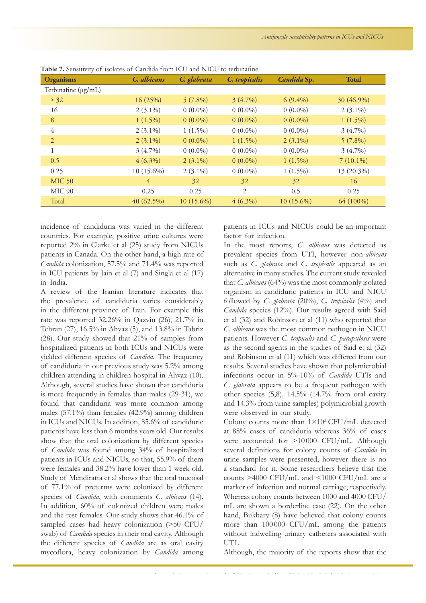| <b>Organisms</b>    | C. albicans    | C. glabrata  | C. tropicalis | Candida Sp.  | <b>Total</b> |
|---------------------|----------------|--------------|---------------|--------------|--------------|
| Terbinafine (µg/mL) |                |              |               |              |              |
| $\geq$ 32           | 16(25%)        | $5(7.8\%)$   | $3(4.7\%)$    | $6(9.4\%)$   | 30 (46.9%)   |
| 16                  | $2(3.1\%)$     | $0(0.0\%)$   | $0(0.0\%)$    | $0(0.0\%)$   | $2(3.1\%)$   |
| 8                   | $1(1.5\%)$     | $0(0.0\%)$   | $0(0.0\%)$    | $0(0.0\%)$   | $1(1.5\%)$   |
| $\overline{4}$      | $2(3.1\%)$     | $1(1.5\%)$   | $0(0.0\%)$    | $0(0.0\%)$   | $3(4.7\%)$   |
| 2                   | $2(3.1\%)$     | $0(0.0\%)$   | $1(1.5\%)$    | $2(3.1\%)$   | $5(7.8\%)$   |
| 1                   | $3(4.7\%)$     | $0(0.0\%)$   | $0(0.0\%)$    | $0(0.0\%)$   | $3(4.7\%)$   |
| 0.5                 | $4(6.3\%)$     | $2(3.1\%)$   | $0(0.0\%)$    | $1(1.5\%)$   | $7(10.1\%)$  |
| 0.25                | 10 (15.6%)     | $2(3.1\%)$   | $0(0.0\%)$    | $1(1.5\%)$   | 13 (20.3%)   |
| <b>MIC 50</b>       | $\overline{4}$ | 32           | 32            | 32           | 16           |
| MIC <sub>90</sub>   | 0.25           | 0.25         | 2             | 0.5          | 0.25         |
| Total               | 40(62.5%)      | $10(15.6\%)$ | $4(6.3\%)$    | $10(15.6\%)$ | 64 (100%)    |

**Table 7.** Sensitivity of isolates of Candida from ICU and NICU to terbinafne

incidence of candiduria was varied in the different countries. For example, positive urine cultures were reported 2% in Clarke et al (25) study from NICUs patients in Canada. On the other hand, a high rate of *Candida* colonization, 57.5% and 71.4% was reported in ICU patients by Jain et al (7) and Singla et al (17) in India.

A review of the Iranian literature indicates that the prevalence of candiduria varies considerably in the different province of Iran. For example this rate was reported 32.26% in Qazvin (26), 21.7% in Tehran (27), 16.5% in Ahvaz (5), and 13.8% in Tabriz (28). Our study showed that 21% of samples from hospitalized patients in both ICUs and NICUs were yielded different species of *Candida*. The frequency of candiduria in our previous study was 5.2% among children attending in children hospital in Ahvaz (10). Although, several studies have shown that candiduria is more frequently in females than males (29-31), we found that candiduria was more common among males (57.1%) than females (42.9%) among children in ICUs and NICUs. In addition, 85.6% of candiduric patients have less than 6 months years old. Our results show that the oral colonization by different species of *Candida* was found among 34% of hospitalized patients in ICUs and NICUs, so that, 55.9% of them were females and 38.2% have lower than 1 week old. Study of Mendiratta et al shows that the oral mucosal of 77.1% of preterms were colonized by different species of *Candida*, with comments *C. albicans* (14). In addition, 60% of colonized children were males and the rest females. Our study shows that 46.1% of sampled cases had heavy colonization (>50 CFU/ swab) of *Candida* species in their oral cavity. Although the different species of *Candida* are as oral cavity mycoflora, heavy colonization by *Candida* among

patients in ICUs and NICUs could be an important factor for infection.

In the most reports, *C. albicans* was detected as prevalent species from UTI, however non-*albicans* such as *C. glabrata* and *C. tropicalis* appeared as an alternative in many studies. The current study revealed that *C. albicans* (64%) was the most commonly isolated organism in candiduric patients in ICU and NICU followed by *C. glabrata* (20%), *C. tropicalis* (4%) and *Candida* species (12%). Our results agreed with Said et al (32) and Robinson et al (11) who reported that *C. albicans* was the most common pathogen in NICU patients. However *C. tropicalis* and *C. parapsilosis* were as the second agents in the studies of Said et al (32) and Robinson et al (11) which was differed from our results. Several studies have shown that polymicrobial infections occur in 5%-10% of *Candida* UTIs and *C. glabrata* appears to be a frequent pathogen with other species (5,8). 14.5% (14.7% from oral cavity and 14.3% from urine samples) polymicrobial growth were observed in our study.

Colony counts more than  $1\times10^3$  CFU/mL detected at 88% cases of candiduria whereas 36% of cases were accounted for >10 000 CFU/mL. Although several definitions for colony counts of *Candida* in urine samples were presented, however there is no a standard for it. Some researchers believe that the counts >4000 CFU/mL and <1000 CFU/mL are a marker of infection and normal carriage, respectively. Whereas colony counts between 1000 and 4000 CFU/ mL are shown a borderline case (22). On the other hand, Bukhary (8) have believed that colony counts more than 100 000 CFU/mL among the patients without indwelling urinary catheters associated with UTI.

Although, the majority of the reports show that the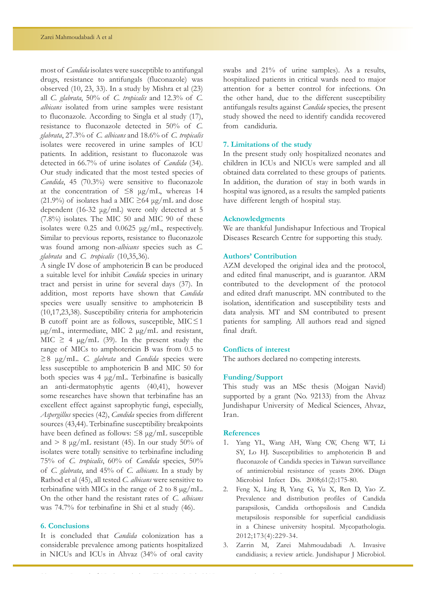most of *Candida* isolates were susceptible to antifungal drugs, resistance to antifungals (fluconazole) was observed (10, 23, 33). In a study by Mishra et al (23) all *C. glabrata*, 50% of *C. tropicalis* and 12.3% of *C. albicans* isolated from urine samples were resistant to fluconazole. According to Singla et al study (17), resistance to fluconazole detected in 50% of *C. glabrata*, 27.3% of *C. albicans* and 18.6% of *C. tropicalis* isolates were recovered in urine samples of ICU patients. In addition, resistant to fluconazole was detected in 66.7% of urine isolates of *Candida* (34). Our study indicated that the most tested species of *Candida*, 45 (70.3%) were sensitive to fluconazole at the concentration of  $\leq 8$  µg/mL, whereas 14 (21.9%) of isolates had a MIC  $\geq$  64 µg/mL and dose dependent (16-32 μg/mL) were only detected at 5 (7.8%) isolates. The MIC 50 and MIC 90 of these isolates were 0.25 and 0.0625 μg/mL, respectively. Similar to previous reports, resistance to fluconazole was found among non-*albicans* species such as *C. glabrata* and *C. tropicalis* (10,35,36).

A single IV dose of amphotericin B can be produced a suitable level for inhibit *Candida* species in urinary tract and persist in urine for several days (37). In addition, most reports have shown that *Candida*  species were usually sensitive to amphotericin B (10,17,23,38). Susceptibility criteria for amphotericin B cutoff point are as follows, susceptible, MIC≤1 µg/mL, intermediate, MIC 2 µg/mL and resistant, MIC  $\geq$  4 µg/mL (39). In the present study the range of MICs to amphotericin B was from 0.5 to ≥8 μg/mL. *C. glabrata* and *Candida* species were less susceptible to amphotericin B and MIC 50 for both species was 4 μg/mL. Terbinafine is basically an anti-dermatophytic agents (40,41), however some researches have shown that terbinafine has an excellent effect against saprophytic fungi, especially, *Aspergillus* species (42), *Candida* species from different sources (43,44). Terbinafine susceptibility breakpoints have been defined as follows:  $\leq$ 8  $\mu$ g/mL susceptible and  $> 8 \mu g/mL$  resistant (45). In our study 50% of isolates were totally sensitive to terbinafine including 75% of *C. tropicalis*, 60% of *Candida* species, 50% of *C. glabrata*, and 45% of *C. albicans*. In a study by Rathod et al (45), all tested *C. albicans* were sensitive to terbinafine with MICs in the range of 2 to 8  $\mu$ g/mL. On the other hand the resistant rates of *C. albicans* was 74.7% for terbinafine in Shi et al study (46).

# **6. Conclusions**

It is concluded that *Candida* colonization has a considerable prevalence among patients hospitalized in NICUs and ICUs in Ahvaz (34% of oral cavity swabs and 21% of urine samples). As a results, hospitalized patients in critical wards need to major attention for a better control for infections. On the other hand, due to the different susceptibility antifungals results against *Candida* species, the present study showed the need to identify candida recovered from candiduria.

# **7. Limitations of the study**

In the present study only hospitalized neonates and children in ICUs and NICUs were sampled and all obtained data correlated to these groups of patients. In addition, the duration of stay in both wards in hospital was ignored, as a results the sampled patients have different length of hospital stay.

#### **Acknowledgments**

We are thankful Jundishapur Infectious and Tropical Diseases Research Centre for supporting this study.

# **Authors' Contribution**

AZM developed the original idea and the protocol, and edited final manuscript, and is guarantor. ARM contributed to the development of the protocol and edited draft manuscript. MN contributed to the isolation, identification and susceptibility tests and data analysis. MT and SM contributed to present patients for sampling. All authors read and signed final draft.

# **Conflicts of interest**

The authors declared no competing interests.

# **Funding/Support**

This study was an MSc thesis (Mojgan Navid) supported by a grant (No. 92133) from the Ahvaz Jundishapur University of Medical Sciences, Ahvaz, Iran.

#### **References**

- 1. Yang YL, Wang AH, Wang CW, Cheng WT, Li SY, Lo HJ. Susceptibilities to amphotericin B and fluconazole of Candida species in Taiwan surveillance of antimicrobial resistance of yeasts 2006. Diagn Microbiol Infect Dis. 2008;61(2):175-80.
- 2. Feng X, Ling B, Yang G, Yu X, Ren D, Yao Z. Prevalence and distribution profiles of Candida parapsilosis, Candida orthopsilosis and Candida metapsilosis responsible for superficial candidiasis in a Chinese university hospital. Mycopathologia. 2012;173(4):229-34.
- 3. Zarrin M, Zarei Mahmoudabadi A. Invasive candidiasis; a review article. Jundishapur J Microbiol.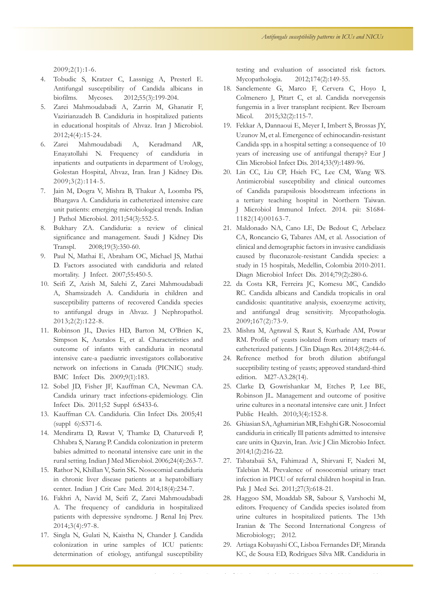2009;2(1):1-6.

- 4. Tobudic S, Kratzer C, Lassnigg A, Presterl E. Antifungal susceptibility of Candida albicans in biofilms. Mycoses. 2012;55(3):199-204.
- 5. Zarei Mahmoudabadi A, Zarrin M, Ghanatir F, Vazirianzadeh B. Candiduria in hospitalized patients in educational hospitals of Ahvaz. Iran J Microbiol. 2012;4(4):15-24.
- 6. Zarei Mahmoudabadi A, Keradmand AR, Enayatollahi N. Frequency of candiduria in inpatients and outpatients in department of Urology, Golestan Hospital, Ahvaz, Iran. Iran J Kidney Dis. 2009;3(2):114-5.
- 7. Jain M, Dogra V, Mishra B, Thakur A, Loomba PS, Bhargava A. Candiduria in catheterized intensive care unit patients: emerging microbiological trends. Indian J Pathol Microbiol. 2011;54(3):552-5.
- 8. Bukhary ZA. Candiduria: a review of clinical significance and management. Saudi J Kidney Dis Transpl. 2008;19(3):350-60.
- 9. Paul N, Mathai E, Abraham OC, Michael JS, Mathai D. Factors associated with candiduria and related mortality. J Infect. 2007;55:450-5.
- 10. Seifi Z, Azish M, Salehi Z, Zarei Mahmoudabadi A, Shamsizadeh A. Candiduria in children and susceptibility patterns of recovered Candida species to antifungal drugs in Ahvaz. J Nephropathol. 2013;2(2):122-8.
- 11. Robinson JL, Davies HD, Barton M, O'Brien K, Simpson K, Asztalos E, et al. Characteristics and outcome of infants with candiduria in neonatal intensive care-a paediatric investigators collaborative network on infections in Canada (PICNIC) study. BMC Infect Dis. 2009;9(1):183.
- 12. Sobel JD, Fisher JF, Kauffman CA, Newman CA. Candida urinary tract infections-epidemiology. Clin Infect Dis. 2011;52 Suppl 6:S433-6.
- 13. Kauffman CA. Candiduria. Clin Infect Dis. 2005;41 (suppl 6):S371-6.
- 14. Mendiratta D, Rawat V, Thamke D, Chaturvedi P, Chhabra S, Narang P. Candida colonization in preterm babies admitted to neonatal intensive care unit in the rural setting. Indian J Med Microbiol. 2006;24(4):263-7.
- 15. Rathor N, Khillan V, Sarin SK. Nosocomial candiduria in chronic liver disease patients at a hepatobilliary center. Indian J Crit Care Med. 2014;18(4):234-7.
- 16. Fakhri A, Navid M, Seifi Z, Zarei Mahmoudabadi A. The frequency of candiduria in hospitalized patients with depressive syndrome. J Renal Inj Prev. 2014;3(4):97-8.
- 17. Singla N, Gulati N, Kaistha N, Chander J. Candida colonization in urine samples of ICU patients: determination of etiology, antifungal susceptibility

testing and evaluation of associated risk factors. Mycopathologia. 2012;174(2):149-55.

- 18. Sanclemente G, Marco F, Cervera C, Hoyo I, Colmenero J, Pitart C, et al. Candida norvegensis fungemia in a liver transplant recipient. Rev Iberoam Micol. 2015;32(2):115-7.
- 19. Fekkar A, Dannaoui E, Meyer I, Imbert S, Brossas JY, Uzunov M, et al. Emergence of echinocandin-resistant Candida spp. in a hospital setting: a consequence of 10 years of increasing use of antifungal therapy? Eur J Clin Microbiol Infect Dis. 2014;33(9):1489-96.
- 20. Lin CC, Liu CP, Hsieh FC, Lee CM, Wang WS. Antimicrobial susceptibility and clinical outcomes of Candida parapsilosis bloodstream infections in a tertiary teaching hospital in Northern Taiwan. J Microbiol Immunol Infect. 2014. pii: S1684- 1182(14)00163-7.
- 21. Maldonado NA, Cano LE, De Bedout C, Arbelaez CA, Roncancio G, Tabares AM, et al. Association of clinical and demographic factors in invasive candidiasis caused by fluconazole-resistant Candida species: a study in 15 hospitals, Medellin, Colombia 2010-2011. Diagn Microbiol Infect Dis. 2014;79(2):280-6.
- 22. da Costa KR, Ferreira JC, Komesu MC, Candido RC. Candida albicans and Candida tropicalis in oral candidosis: quantitative analysis, exoenzyme activity, and antifungal drug sensitivity. Mycopathologia. 2009;167(2):73-9.
- 23. Mishra M, Agrawal S, Raut S, Kurhade AM, Powar RM. Profile of yeasts isolated from urinary tracts of catheterized patients. J Clin Diagn Res. 2014;8(2):44-6.
- 24. Refrence method for broth dilution abtifungal suceptibility testing of yeasts; approved standard-third edition. M27-A3.28(14).
- 25. Clarke D, Gowrishankar M, Etches P, Lee BE, Robinson JL. Management and outcome of positive urine cultures in a neonatal intensive care unit. J Infect Public Health. 2010;3(4):152-8.
- 26. Ghiasian SA, Aghamirian MR, Eshghi GR. Nosocomial candiduria in critically Ill patients admitted to intensive care units in Qazvin, Iran. Avic J Clin Microbio Infect. 2014;1(2):216-22.
- 27. Tabatabaii SA, Fahimzad A, Shirvani F, Naderi M, Talebian M. Prevalence of nosocomial urinary tract infection in PICU of referral children hospital in Iran. Pak J Med Sci. 2011;27(3):618-21.
- 28. Haggoo SM, Moaddab SR, Sabour S, Varshochi M, editors. Frequency of Candida species isolated from urine cultures in hospitalized patients. The 13th Iranian & The Second International Congress of Microbiology; 2012.
- 29. Artiaga Kobayashi CC, Lisboa Fernandes DF, Miranda KC, de Sousa ED, Rodrigues Silva MR. Candiduria in